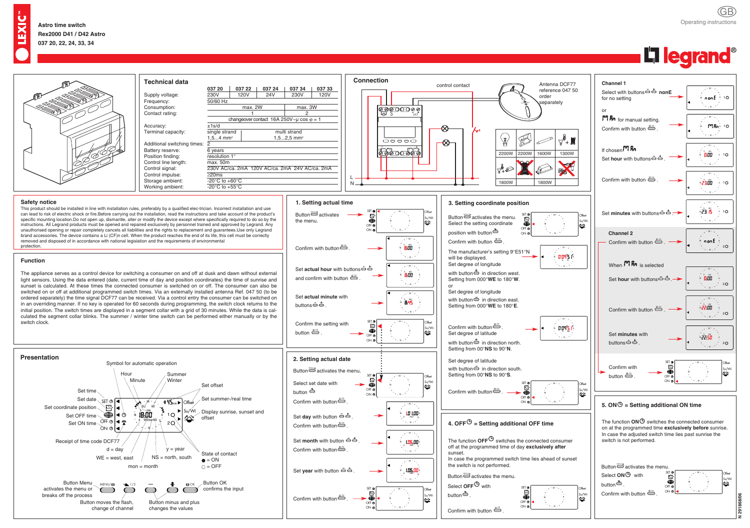GB Operating instructions



## $\overline{\mathbf{X}}$

**N291868/06**